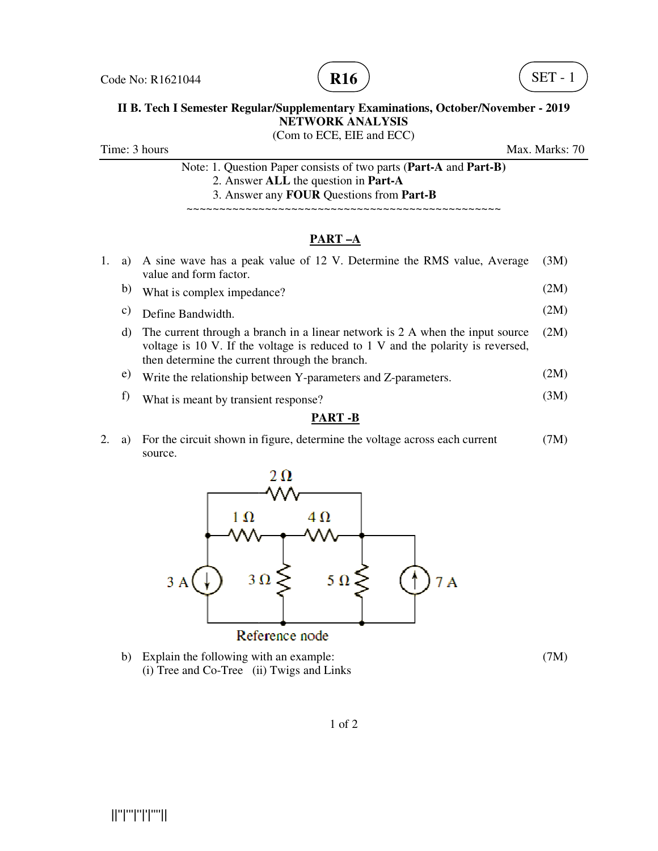



# **II B. Tech I Semester Regular/Supplementary Examinations, October/November - 2019**<br>NETWORK ANALYSIS

(Com to ECE, EIE and ECC)

Time: 3 hours

Max. Marks: 70

Note: 1. Question Paper consists of two parts (Part-A and Part-B) 2. Answer **ALL** the question in **Part-A** 3. Answer any 3. Answer any **FOUR** Questions from **Part-B**

~~~~~~~~~~~~~~~~~~~~~~~~~~~~~~~~~~~ ~~~~~~~~~~~~~~~~~~~~~~~~~~~~~~~~~~~

### **PART –A**

- 1. a) A sine wave has a peak value of 12 V. De A sine wave has a peak value of 12 V. Determine the RMS value, Average ~~~~~~~~~~~~termine the RMS value, Average (3M) value and form factor. (2M)
	- b) What is complex impedance?
	- c) Define Bandwidth. (2M)
	- d) The current through a branch in a linear network is 2 A when the input source voltage is 10 V. If the voltage is reduced to 1 V and the polarity is reversed, then determine the current through the branch. What is complex impedance?<br>Define Bandwidth.<br>The current through a branch in a linear network is 2 A when the input source<br>voltage is 10 V. If the voltage is reduced to 1 V and the polarity is reversed,<br>then determine the The current through a branch in a linear network is  $2 \text{ A}$  when the input source (2M) voltage is  $10 \text{ V}$ . If the voltage is reduced to  $1 \text{ V}$  and the polarity is reversed,
	- e) Write the relationship between Y-parameters and Z-parameters. (2M)
	- f) What is meant by transient response? (3M)

#### **PART -B**

2. a) For the circuit shown in figure, determine the voltage across each current (7M) source.



b) Explain the following with an example: (i) Tree and Co-Tree (ii) Twigs and Links

(7M)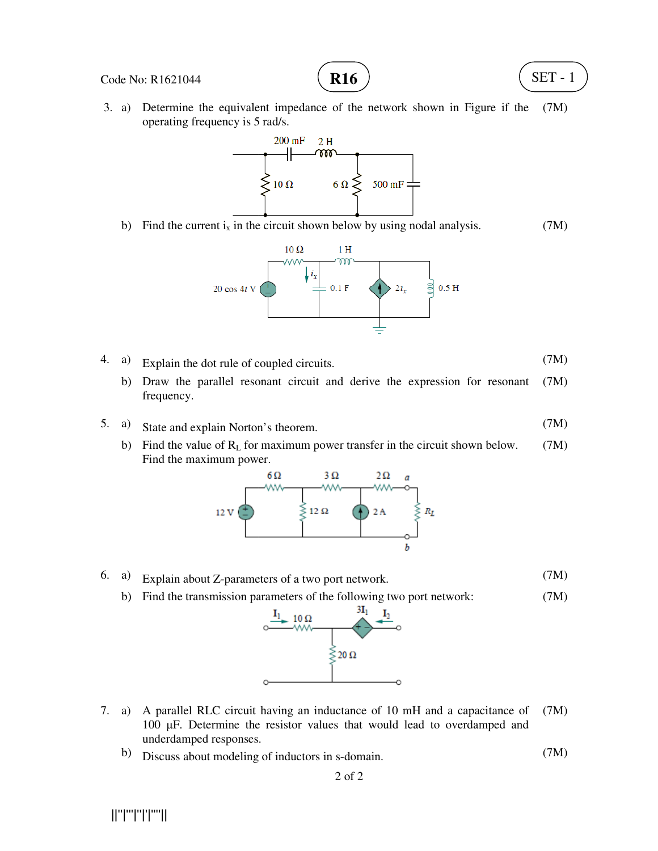#### Code No: R1621044

 3. a) Determine the equivalent impedance of the network shown in Figure if the operating frequency is 5 rad/s. (7M)

**R16**



b) Find the current  $i_x$  in the circuit shown below by using nodal analysis. (7M)



- 4. a) Explain the dot rule of coupled circuits.
- b) Draw the parallel resonant circuit and derive the expression for resonant (7M) frequency.
- 5. a) State and explain Norton's theorem. (7M)
	- b) Find the value of  $R_L$  for maximum power transfer in the circuit shown below. Find the maximum power. (7M)



- 6. a) Explain about Z-parameters of a two port network.
	- b) Find the transmission parameters of the following two port network:



- 7. a) A parallel RLC circuit having an inductance of 10 mH and a capacitance of A parallel RLC circuit having an inductance of 10 mH and a capacitance of  $(7M)$  100  $\mu$ F. Determine the resistor values that would lead to overdamped and underdamped responses.
	- b) Discuss about modeling of inductors in s-domain. (7M)

||''|'''|''|'|''''||

(7M)

SET - 1

(7M)

(7M)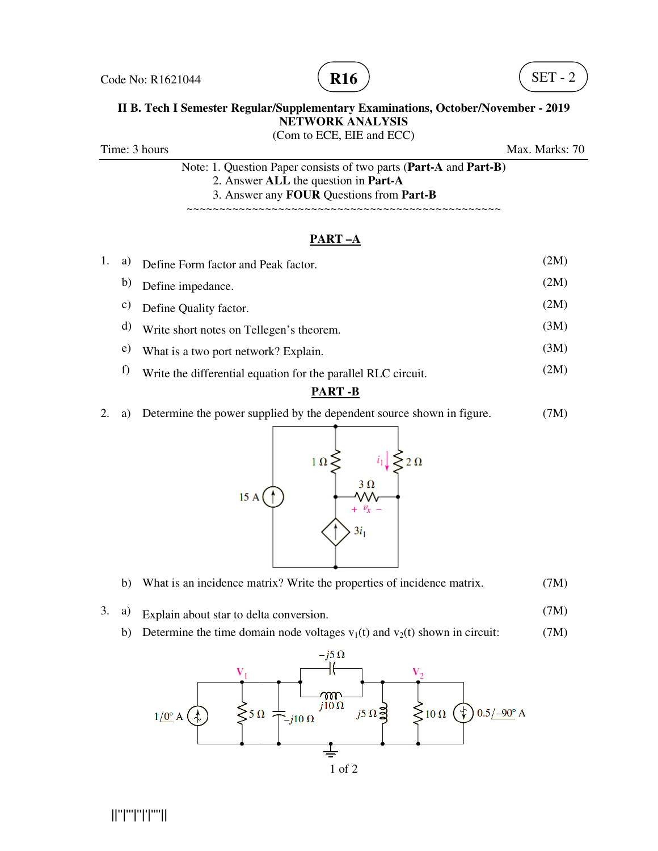



## **II B. Tech I Semester Regular/Supplementary Examinations, October/November - 2019**<br>NETWORK ANALYSIS (Com to ECE, EIE and ECC)

Time: 3 hours

Max. Marks: 70

Note: 1. Question Paper consists of two parts (**Part-A** and **Part--B)** 2. Answer **ALL** the question in **Part-A** 3. Answer any **FOUR** Questions from **Part-B**

~~~~~~~~~~~~~~~~~~~~~~~~~~~~~~~~~~~ ~~~~~~~~~~~~~~~~~~~~~~~~~~~~~~~~~~~ ~~~~~~~~~~~~

### **PART –A**

| 1. | a) | Define Form factor and Peak factor.                           | (2M) |
|----|----|---------------------------------------------------------------|------|
|    | b) | Define impedance.                                             | (2M) |
|    | C) | Define Quality factor.                                        | (2M) |
|    | d) | Write short notes on Tellegen's theorem.                      | (3M) |
|    | e) | What is a two port network? Explain.                          | (3M) |
|    |    | Write the differential equation for the parallel RLC circuit. | (2M) |

### **PART -B**

2. a) Determine the power supplied by the dependent source shown in figure. (7M)



- b) What is an incidence matrix? Write the properties of incidence matrix. (7M)
- 3. a) Explain about star to delta conversion. (7M)
	- <sup>a)</sup> Explain about star to delta conversion. (*INI*)<br>
	b) Determine the time domain node voltages  $v_1(t)$  and  $v_2(t)$  shown in circuit: (7M)

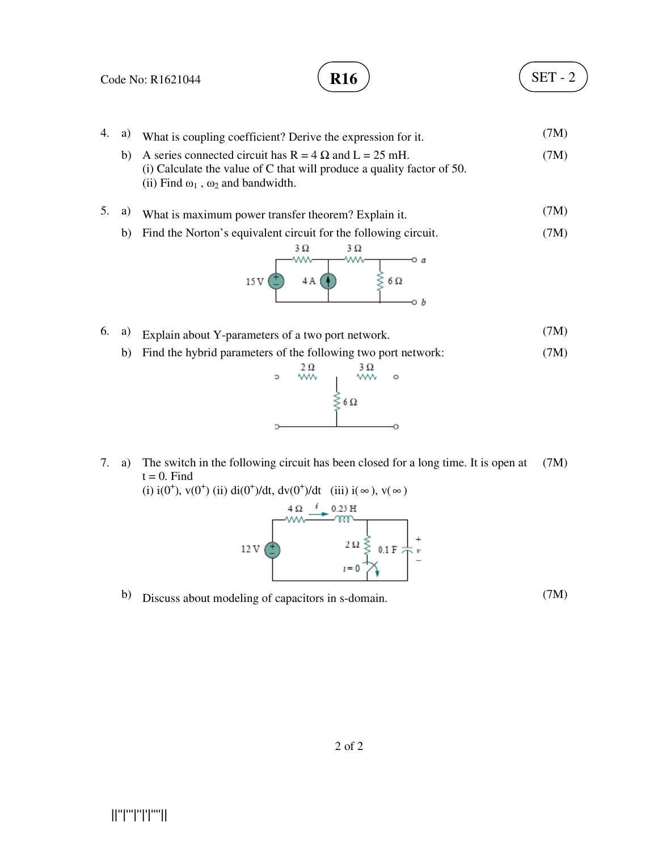

7. a) The switch in the following circuit has been closed for a long time. It is open at  $t = 0$ . Find (7M)

(i)  $i(0^+), v(0^+)$  (ii)  $di(0^+)/dt, dv(0^+)/dt$  (iii)  $i(\infty), v(\infty)$ 



b) Discuss about modeling of capacitors in s-domain. (7M)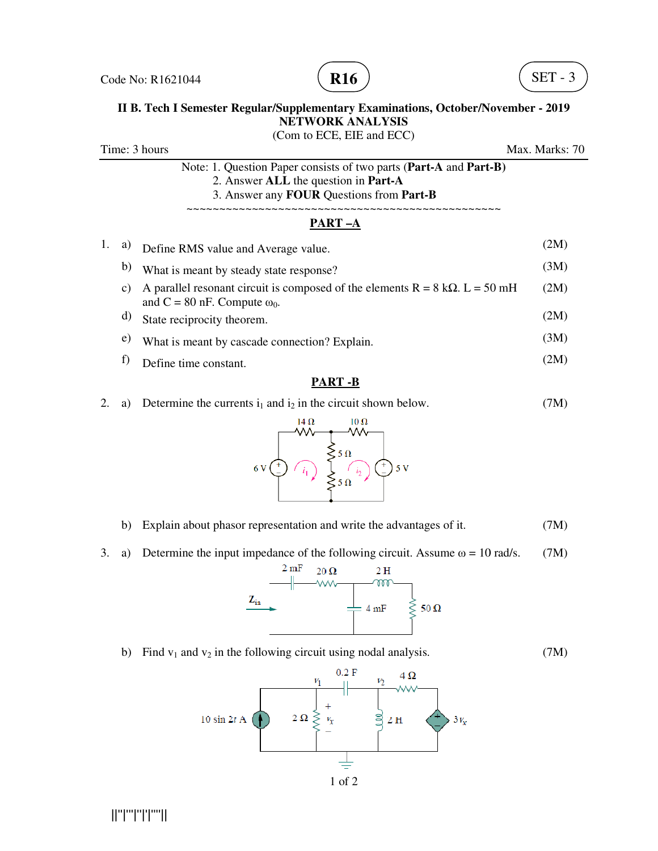



# **II B. Tech I Semester Regular/Supplementary Examinations, October/November - 2019**<br>NETWORK ANALYSIS

Time: 3 hours Note: 1. Question Paper consists of two parts (**Part-A** and **Part--B)** 2. Answer **ALL** the question in **Part-A** 3. Answer any **FOUR** Questions from **Part-B** ~~~~~~~~~~~~~~~~~~~~~~~~~~~~~~~~~~~ 1. a) Define RMS value and Average value. Define b) What is meant by steady state response? b) What is meant by steady state response?<br>c) A parallel resonant circuit is composed of the elements R = 8 kΩ. L = 50 mH and  $C = 80$  nF. Compute  $\omega_0$ . d) State reciprocity theorem. <sup>d)</sup> State reciprocity theorem.<br>
<sup>e)</sup> What is meant by cascade connection? Explain. f) Define time constant. (Com to ECE, EIE and ECC) ~~~~~~~~~~~~~~~~~~~~~~~~~~~~~~~~~~~ **PART –A**  Max. Marks: 70 ~~~~~~~~~~~~ (2M) (3M) (2M) (2M) (3M) (2M)

#### **PART -B**

2. a) Determine the currents  $i_1$  and  $i_2$  in the circuit shown below. (7M)



- b) Explain about phasor representation and write the advantages of it. (7M)
- b) Explain about phasor representation and write the advantages of it. (7M)<br>3. a) Determine the input impedance of the following circuit. Assume  $\omega = 10 \text{ rad/s.}$  (7M)



b) Find  $v_1$  and  $v_2$  in the following circuit using nodal analysis. (7M)



||''|'''|''|'|''''||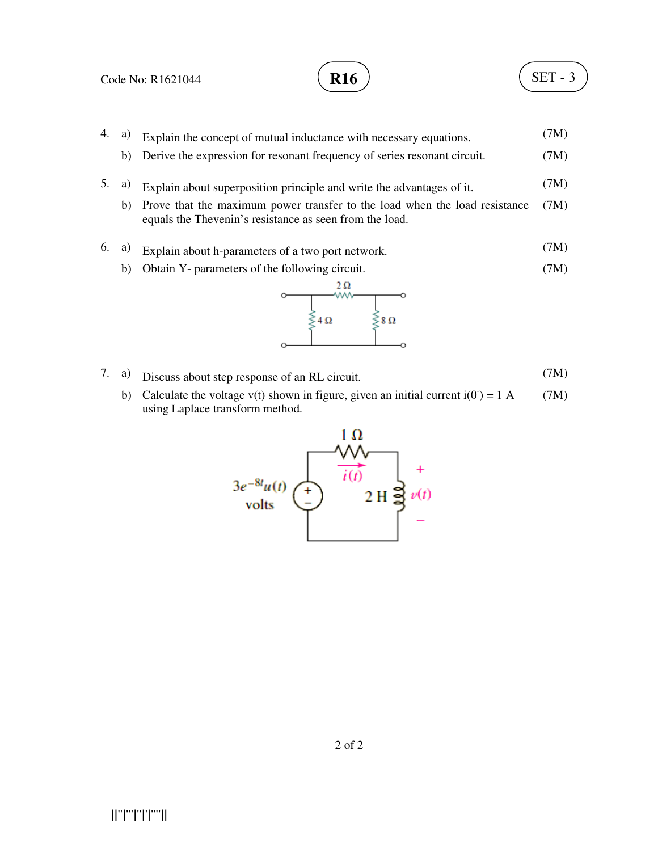## SET - 3

4. a) Explain the concept of mutual inductance with necessary equations. b) Derive the expression for resonant frequency of series resonant circuit. 5. a) Explain about superposition principle and write the advantages of it. b) Prove that the maximum power transfer to the load when the load resistance (7M) equals the Thevenin's resistance as seen from the load. 6. a) Explain about h-parameters of a two port network. b) Obtain Y- parameters of the following circuit. Explain the concept of mutual inductance with necessary equations.<br>
Derive the expression for resonant frequency of series resonant circuit.<br>
Explain about superposition principle and write the advantages of it.<br>
Prove th (7M) (7M) (7M) (7M) (7M)



- 7. a) Discuss about step response of an RL circuit. (7M)
- b) Calculate the voltage  $v(t)$  shown in figure, given an initial current  $i(0) = 1$  A using Laplace transform method. (7M)

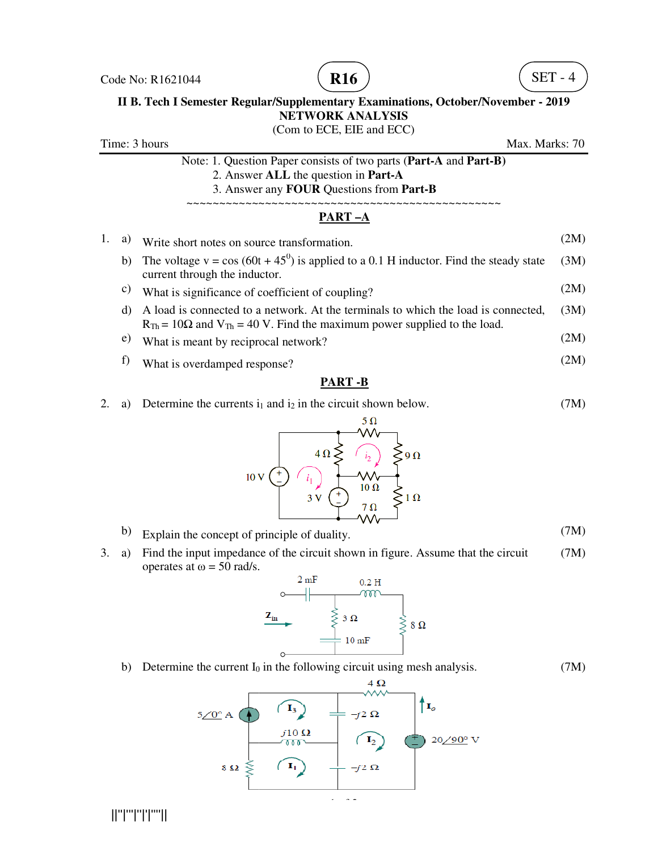



## **II B. Tech I Semester Regular/Supplementary Examinations, October/November - 2019**<br>NETWORK ANALYSIS (Com to ECE, EIE and ECC)

Time: 3 hours Note: 1. Question Paper consists of two parts (**Part-A** and **Part--B)** 2. Answer **ALL** the question in **Part-A** 3. Answer any **FOUR** Questions from **Part-B** ~~~~~~~~~~~~~~~~~~~~~~~~~~~~~~~~~~~~ ~~~~~~~~~~~~~~~~~~~~~~~~~~~~~~~~~~~~~ ~~~~~~~~~~~~ 1. a) Write short notes on source transformation. <sup>1</sup>. a) Write short notes on source transformation. (2M)<br>b) The voltage v = cos (60t + 45<sup>0</sup>) is applied to a 0.1 H inductor. Find the steady state (3M) current through the inductor. c) What is significance of coefficient of coupling? d) A load is connected to a network. At the terminals to which the load is connected,  $R_{Th}$  = 10 $\Omega$  and  $V_{Th}$  = 40 V. Find the maximum power supplied to the load. e) What is meant by reciprocal network? **PART –A**  current through the inductor.<br>What is significance of coefficient of coupling?<br>A load is connected to a network. At the terminals to which the load is<br> $R_{Th} = 10\Omega$  and  $V_{Th} = 40$  V. Find the maximum power supplied to the Max. Marks: 70 (2M) (2M) A load is connected to a network. At the terminals to which the load is connected, (3M) (2M)

f) What is overdamped response?

#### **PART -B**

2. a) Determine the currents  $i_1$  and  $i_2$  in the circuit shown below. (7M)



- b) Explain the concept of principle of duality.
- <sup>b</sup> Explain the concept of principle of duality. ( $(M)$ )<br>3. a) Find the input impedance of the circuit shown in figure. Assume that the circuit (7M) operates at  $\omega = 50$  rad/s.



b) Determine the current  $I_0$  in the following circuit using mesh analysis. (7M)



||''|'''|''|'|''''||

(7M)

(2M)